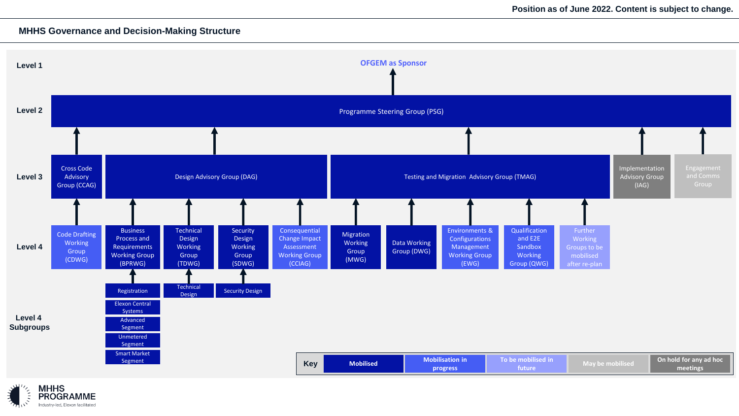## **MHHS Governance and Decision-Making Structure**



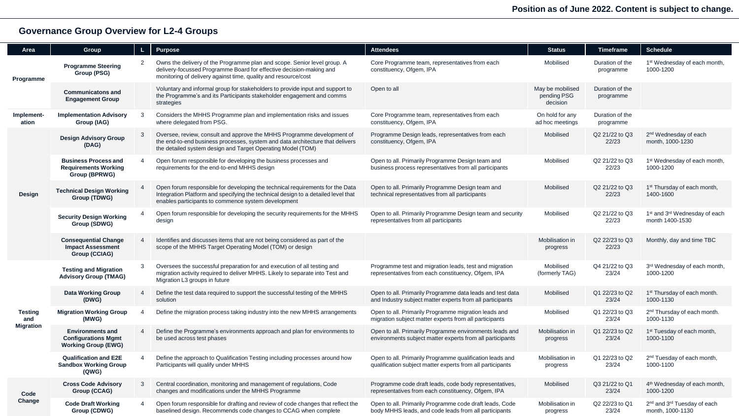## **Governance Group Overview for L2-4 Groups**

| <b>Area</b>                               | Group                                                                               |                       | Purpose                                                                                                                                                                                                                   | <b>Attendees</b>                                                                                                       | <b>Status</b>                               | <b>Timeframe</b>             | <b>Schedule</b>                                                          |
|-------------------------------------------|-------------------------------------------------------------------------------------|-----------------------|---------------------------------------------------------------------------------------------------------------------------------------------------------------------------------------------------------------------------|------------------------------------------------------------------------------------------------------------------------|---------------------------------------------|------------------------------|--------------------------------------------------------------------------|
| Programme                                 | <b>Programme Steering</b><br>Group (PSG)                                            | $\overline{2}$        | Owns the delivery of the Programme plan and scope. Senior level group. A<br>delivery-focussed Programme Board for effective decision-making and<br>monitoring of delivery against time, quality and resource/cost         | Core Programme team, representatives from each<br>constituency, Ofgem, IPA                                             | Mobilised                                   | Duration of the<br>programme | 1 <sup>st</sup> Wednesday of each month,<br>1000-1200                    |
|                                           | <b>Communicatons and</b><br><b>Engagement Group</b>                                 |                       | Voluntary and informal group for stakeholders to provide input and support to<br>the Programme's and its Participants stakeholder engagement and comms<br>strategies                                                      | Open to all                                                                                                            | May be mobilised<br>pending PSG<br>decision | Duration of the<br>programme |                                                                          |
| Implement-<br>ation                       | <b>Implementation Advisory</b><br>Group (IAG)                                       | 3                     | Considers the MHHS Programme plan and implementation risks and issues<br>On hold for any<br>Core Programme team, representatives from each<br>where delegated from PSG.<br>constituency, Ofgem, IPA<br>ad hoc meetings    |                                                                                                                        |                                             | Duration of the<br>programme |                                                                          |
| Design                                    | <b>Design Advisory Group</b><br>(DAG)                                               | 3                     | Oversee, review, consult and approve the MHHS Programme development of<br>the end-to-end business processes, system and data architecture that delivers<br>the detailed system design and Target Operating Model (TOM)    | Programme Design leads, representatives from each<br>constituency, Ofgem, IPA                                          | Mobilised                                   | Q2 21/22 to Q3<br>22/23      | 2 <sup>nd</sup> Wednesday of each<br>month, 1000-1230                    |
|                                           | <b>Business Process and</b><br><b>Requirements Working</b><br>Group (BPRWG)         | $\overline{4}$        | Open forum responsible for developing the business processes and<br>requirements for the end-to-end MHHS design                                                                                                           | Open to all. Primarily Programme Design team and<br>business process representatives from all participants             | Mobilised                                   | Q2 21/22 to Q3<br>22/23      | 1 <sup>st</sup> Wednesday of each month,<br>1000-1200                    |
|                                           | <b>Technical Design Working</b><br>Group (TDWG)                                     | $\overline{4}$        | Open forum responsible for developing the technical requirements for the Data<br>Integration Platform and specifying the technical design to a detailed level that<br>enables participants to commence system development | Open to all. Primarily Programme Design team and<br>technical representatives from all participants                    | Mobilised                                   | Q2 21/22 to Q3<br>22/23      | 1 <sup>st</sup> Thursday of each month,<br>1400-1600                     |
|                                           | <b>Security Design Working</b><br>Group (SDWG)                                      | $\overline{4}$        | Open forum responsible for developing the security requirements for the MHHS<br>design                                                                                                                                    | Open to all. Primarily Programme Design team and security<br>representatives from all participants                     | Mobilised                                   | Q2 21/22 to Q3<br>22/23      | 1 <sup>st</sup> and 3 <sup>rd</sup> Wednesday of each<br>month 1400-1530 |
|                                           | <b>Consequential Change</b><br><b>Impact Assessment</b><br>Group (CCIAG)            | $\overline{4}$        | Identifies and discusses items that are not being considered as part of the<br>scope of the MHHS Target Operating Model (TOM) or design                                                                                   |                                                                                                                        | Mobilisation in<br>progress                 | Q2 22/23 to Q3<br>22/23      | Monthly, day and time TBC                                                |
| <b>Testing</b><br>and<br><b>Migration</b> | <b>Testing and Migration</b><br><b>Advisory Group (TMAG)</b>                        | 3                     | Oversees the successful preparation for and execution of all testing and<br>migration activity required to deliver MHHS. Likely to separate into Test and<br>Migration L3 groups in future                                | Programme test and migration leads, test and migration<br>representatives from each constituency, Ofgem, IPA           | Mobilised<br>(formerly TAG)                 | Q4 21/22 to Q3<br>23/24      | 3rd Wednesday of each month,<br>1000-1200                                |
|                                           | <b>Data Working Group</b><br>(DWG)                                                  | $\overline{4}$        | Define the test data required to support the successful testing of the MHHS<br>solution                                                                                                                                   | Open to all. Primarily Programme data leads and test data<br>and Industry subject matter experts from all participants | Mobilised                                   | Q1 22/23 to Q2<br>23/24      | 1 <sup>st</sup> Thursday of each month.<br>1000-1130                     |
|                                           | <b>Migration Working Group</b><br>(MWG)                                             | $\overline{4}$        | Define the migration process taking industry into the new MHHS arrangements                                                                                                                                               | Open to all. Primarily Programme migration leads and<br>migration subject matter experts from all participants         | Mobilised                                   | Q1 22/23 to Q3<br>23/24      | 2 <sup>nd</sup> Thursday of each month.<br>1000-1130                     |
|                                           | <b>Environments and</b><br><b>Configurations Mgmt</b><br><b>Working Group (EWG)</b> | $\overline{4}$        | Define the Programme's environments approach and plan for environments to<br>be used across test phases                                                                                                                   | Open to all. Primarily Programme environments leads and<br>environments subject matter experts from all participants   | Mobilisation in<br>progress                 | Q1 22/23 to Q2<br>23/24      | 1 <sup>st</sup> Tuesday of each month,<br>1000-1100                      |
|                                           | <b>Qualification and E2E</b><br><b>Sandbox Working Group</b><br>(QWG)               | $\boldsymbol{\Delta}$ | Define the approach to Qualification Testing including processes around how<br>Participants will qualify under MHHS                                                                                                       | Open to all. Primarily Programme qualification leads and<br>qualification subject matter experts from all participants | Mobilisation in<br>progress                 | Q1 22/23 to Q2<br>23/24      | 2 <sup>nd</sup> Tuesday of each month,<br>1000-1100                      |
| Code<br>Change                            | <b>Cross Code Advisory</b><br>Group (CCAG)                                          | 3                     | Central coordination, monitoring and management of regulations, Code<br>changes and modifications under the MHHS Programme                                                                                                | Programme code draft leads, code body representatives,<br>representatives from each constituency, Ofgem, IPA           | Mobilised                                   | Q3 21/22 to Q1<br>23/24      | 4 <sup>th</sup> Wednesday of each month,<br>1000-1200                    |
|                                           | <b>Code Draft Working</b><br>Group (CDWG)                                           | $\overline{4}$        | Open forum responsible for drafting and review of code changes that reflect the<br>baselined design. Recommends code changes to CCAG when complete                                                                        | Open to all. Primarily Programme code draft leads, Code<br>body MHHS leads, and code leads from all participants       | Mobilisation in<br>progress                 | Q2 22/23 to Q1<br>23/24      | 2 <sup>nd</sup> and 3 <sup>rd</sup> Tuesday of each<br>month, 1000-1130  |